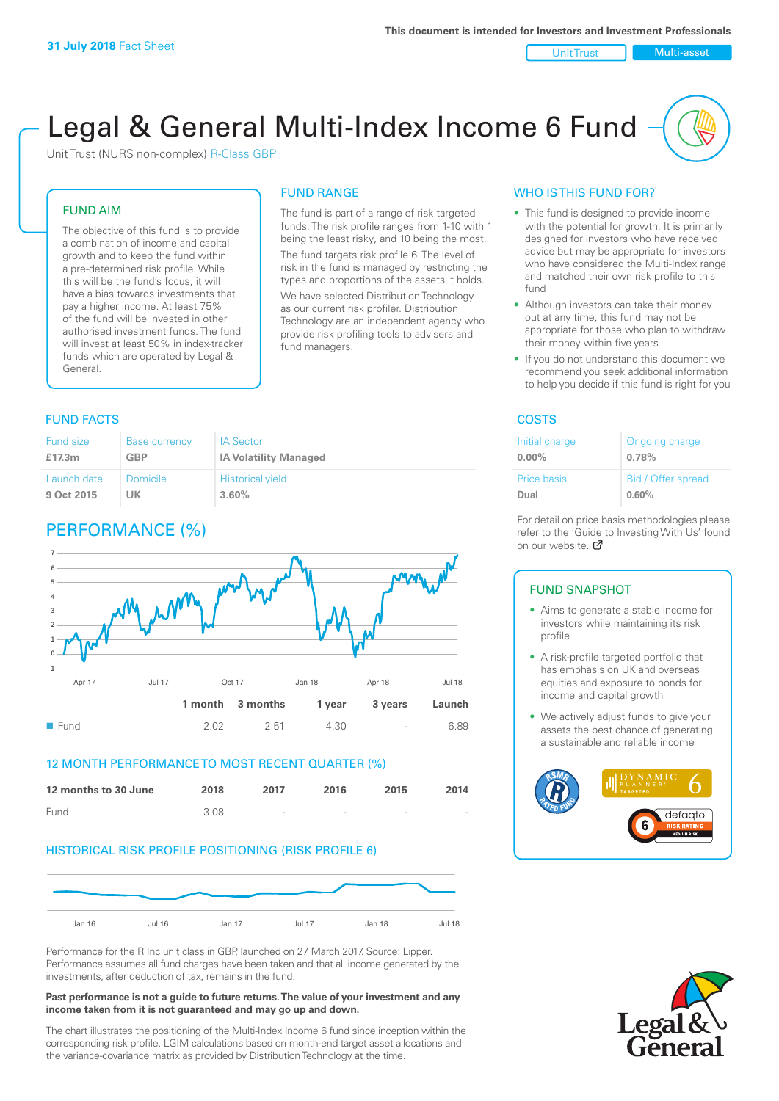Unit Trust Nulti-asset

# Legal & General Multi-Index Income 6 Fund

The fund is part of a range of risk targeted funds. The risk profile ranges from 1-10 with 1 being the least risky, and 10 being the most. The fund targets risk profile 6. The level of risk in the fund is managed by restricting the types and proportions of the assets it holds. We have selected Distribution Technology as our current risk profiler. Distribution Technology are an independent agency who provide risk profiling tools to advisers and

FUND RANGE

fund managers.

Unit Trust (NURS non-complex) R-Class GBP

#### FUND AIM

The objective of this fund is to provide a combination of income and capital growth and to keep the fund within a pre-determined risk profile. While this will be the fund's focus, it will have a bias towards investments that pay a higher income. At least 75% of the fund will be invested in other authorised investment funds. The fund will invest at least 50% in index-tracker funds which are operated by Legal & General.

#### Fund size **£17.3m** Base currency **GBP** IA Sector **IA Volatility Managed** Launch date **9 Oct 2015** Domicile **UK** Historical yield **3.60%**

# PERFORMANCE (%)



#### 12 MONTH PERFORMANCE TO MOST RECENT QUARTER (%)



#### HISTORICAL RISK PROFILE POSITIONING (RISK PROFILE 6)



Performance for the R Inc unit class in GBP, launched on 27 March 2017. Source: Lipper. Performance assumes all fund charges have been taken and that all income generated by the investments, after deduction of tax, remains in the fund.

#### **Past performance is not a guide to future returns. The value of your investment and any income taken from it is not guaranteed and may go up and down.**

The chart illustrates the positioning of the Multi-Index Income 6 fund since inception within the corresponding risk profile. LGIM calculations based on month-end target asset allocations and the variance-covariance matrix as provided by Distribution Technology at the time.

#### WHO IS THIS FUND FOR?

- This fund is designed to provide income with the potential for growth. It is primarily designed for investors who have received advice but may be appropriate for investors who have considered the Multi-Index range and matched their own risk profile to this fund
- Although investors can take their money out at any time, this fund may not be appropriate for those who plan to withdraw their money within five years
- If you do not understand this document we recommend you seek additional information to help you decide if this fund is right for you

#### **FUND FACTS** COSTS

| Initial charge | Ongoing charge     |
|----------------|--------------------|
| $0.00\%$       | 0.78%              |
| Price basis    | Bid / Offer spread |
| Dual           | 0.60%              |

For detail on price basis methodologies please refer to the 'Gu[ide t](http://www.legalandgeneral.com/guide)o Investing With Us' found on our website. Ø

#### FUND SNAPSHOT

- Aims to generate a stable income for investors while maintaining its risk profile
- A risk-profile targeted portfolio that has emphasis on UK and overseas equities and exposure to bonds for income and capital growth
- We actively adjust funds to give your assets the best chance of generating a sustainable and reliable income



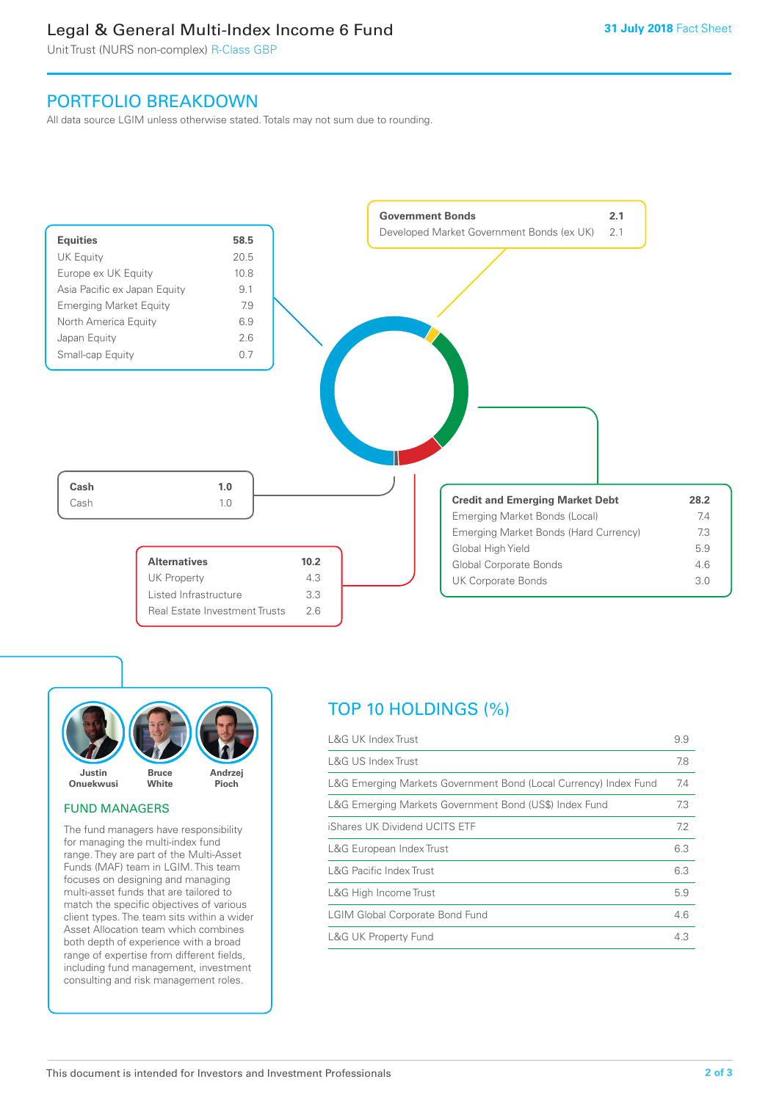# Legal & General Multi-Index Income 6 Fund

Unit Trust (NURS non-complex) R-Class GBP

## PORTFOLIO BREAKDOWN

All data source LGIM unless otherwise stated. Totals may not sum due to rounding.





#### FUND MANAGERS

The fund managers have responsibility for managing the multi-index fund range. They are part of the Multi-Asset Funds (MAF) team in LGIM. This team focuses on designing and managing multi-asset funds that are tailored to match the specific objectives of various client types. The team sits within a wider Asset Allocation team which combines both depth of experience with a broad range of expertise from different fields, including fund management, investment consulting and risk management roles.

# TOP 10 HOLDINGS (%)

| <b>L&amp;G UK Index Trust</b>                                    | 9.9 |
|------------------------------------------------------------------|-----|
| <b>L&amp;G US Index Trust</b>                                    | 7.8 |
| L&G Emerging Markets Government Bond (Local Currency) Index Fund | 7.4 |
| L&G Emerging Markets Government Bond (US\$) Index Fund           | 7.3 |
| iShares UK Dividend UCITS ETF                                    | 7.2 |
| L&G European Index Trust                                         | 6.3 |
| <b>L&amp;G Pacific Index Trust</b>                               | 6.3 |
| L&G High Income Trust                                            | 5.9 |
| <b>LGIM Global Corporate Bond Fund</b>                           | 4.6 |
| <b>L&amp;G UK Property Fund</b>                                  | 4.3 |